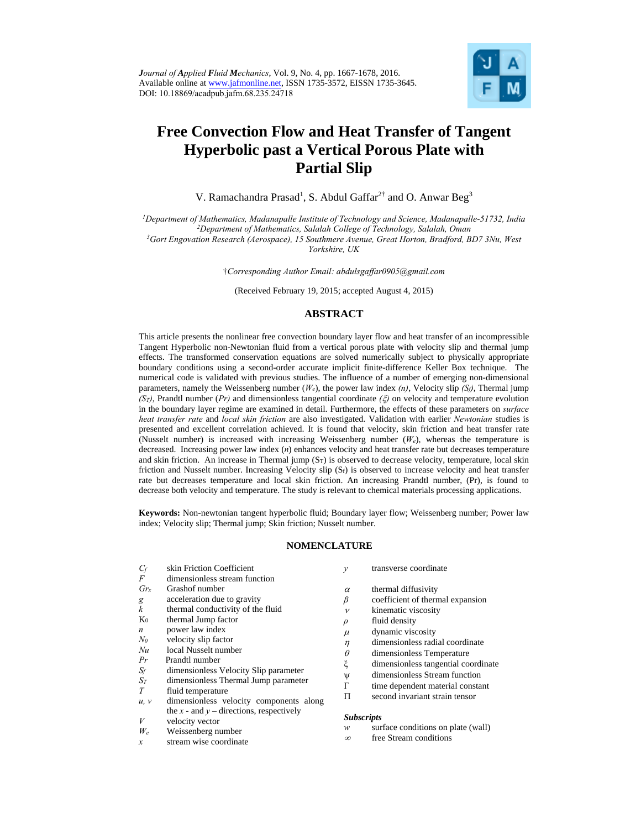*Journal of Applied Fluid Mechanics*, Vol. 9, No. 4, pp. 1667-1678, 2016. Available online at www.jafmonline.net, ISSN 1735-3572, EISSN 1735-3645. DOI: 10.18869/acadpub.jafm.68.235.24718



# **Free Convection Flow and Heat Transfer of Tangent Hyperbolic past a Vertical Porous Plate with Partial Slip**

V. Ramachandra Prasad<sup>1</sup>, S. Abdul Gaffar<sup>2†</sup> and O. Anwar Beg<sup>3</sup>

*1Department of Mathematics, Madanapalle Institute of Technology and Science, Madanapalle-51732, India 2* <sup>3</sup>Gort Engovation Research (Aerospace), 15 Southmere Avenue, Great Horton, Bradford, BD7 3Nu, West

*Yorkshire, UK*

†*Corresponding Author Email: abdulsgaffar0905@gmail.com* 

(Received February 19, 2015; accepted August 4, 2015)

## **ABSTRACT**

This article presents the nonlinear free convection boundary layer flow and heat transfer of an incompressible Tangent Hyperbolic non-Newtonian fluid from a vertical porous plate with velocity slip and thermal jump effects. The transformed conservation equations are solved numerically subject to physically appropriate boundary conditions using a second-order accurate implicit finite-difference Keller Box technique. The numerical code is validated with previous studies. The influence of a number of emerging non-dimensional parameters, namely the Weissenberg number (*We*), the power law index *(n)*, Velocity slip *(Sf)*, Thermal jump  $(S_T)$ , Prandtl number (*Pr*) and dimensionless tangential coordinate  $(\xi)$  on velocity and temperature evolution in the boundary layer regime are examined in detail. Furthermore, the effects of these parameters on *surface heat transfer rate* and *local skin friction* are also investigated. Validation with earlier *Newtonian* studies is presented and excellent correlation achieved. It is found that velocity, skin friction and heat transfer rate (Nusselt number) is increased with increasing Weissenberg number (*We*), whereas the temperature is decreased. Increasing power law index (*n*) enhances velocity and heat transfer rate but decreases temperature and skin friction. An increase in Thermal jump  $(S_T)$  is observed to decrease velocity, temperature, local skin friction and Nusselt number. Increasing Velocity slip (Sf) is observed to increase velocity and heat transfer rate but decreases temperature and local skin friction. An increasing Prandtl number, (Pr), is found to decrease both velocity and temperature. The study is relevant to chemical materials processing applications.

**Keywords:** Non-newtonian tangent hyperbolic fluid; Boundary layer flow; Weissenberg number; Power law index; Velocity slip; Thermal jump; Skin friction; Nusselt number.

#### **NOMENCLATURE**

| $C_f$            | skin Friction Coefficient                                   | у            | transverse coordinate                                   |
|------------------|-------------------------------------------------------------|--------------|---------------------------------------------------------|
| F                | dimensionless stream function                               |              |                                                         |
| Gr <sub>x</sub>  | Grashof number                                              | $\alpha$     | thermal diffusivity                                     |
| g                | acceleration due to gravity                                 | β            | coefficient of thermal expansion                        |
| k                | thermal conductivity of the fluid                           | $\mathcal V$ | kinematic viscosity                                     |
| $K_0$            | thermal Jump factor                                         | $\rho$       | fluid density                                           |
| $\boldsymbol{n}$ | power law index                                             | $\mu$        | dynamic viscosity                                       |
| $N_{\theta}$     | velocity slip factor                                        | η            | dimensionless radial coordinate                         |
| Nu               | local Nusselt number                                        | $\theta$     | dimensionless Temperature                               |
| Pr               | Prandtl number                                              | ξ            | dimensionless tangential coordinate                     |
| $S_f$            | dimensionless Velocity Slip parameter                       | Ψ            | dimensionless Stream function                           |
| $S_T$            | dimensionless Thermal Jump parameter                        | Г            | time dependent material constant                        |
| T                | fluid temperature                                           | П            | second invariant strain tensor                          |
| u, v             | dimensionless velocity components along                     |              |                                                         |
| V                | the x - and y – directions, respectively<br>velocity vector |              | <b>Subscripts</b><br>surface conditions on plate (wall) |
| $W_e$            | Weissenberg number                                          | w            |                                                         |

*x* stream wise coordinate

- 
- $\infty$ free Stream conditions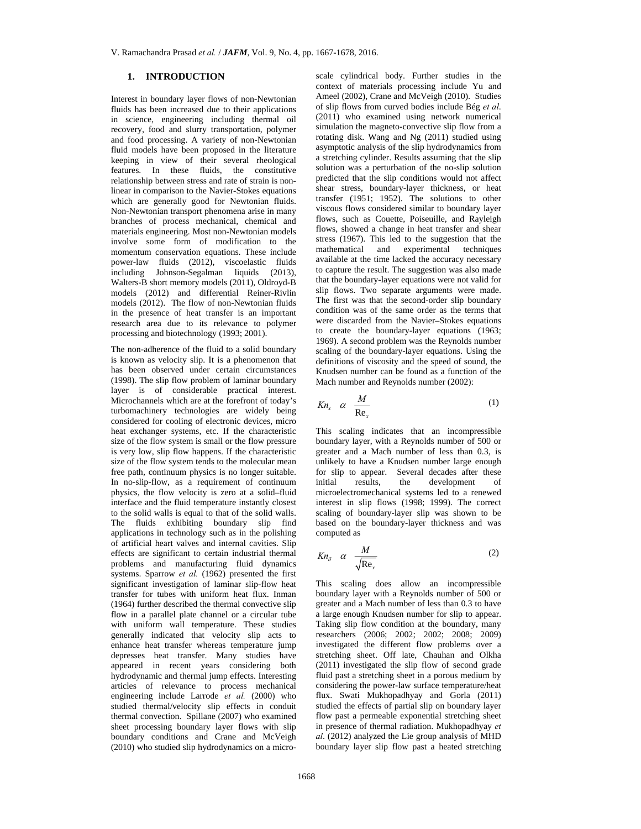## **1. INTRODUCTION**

Interest in boundary layer flows of non-Newtonian fluids has been increased due to their applications in science, engineering including thermal oil recovery, food and slurry transportation, polymer and food processing. A variety of non-Newtonian fluid models have been proposed in the literature keeping in view of their several rheological features. In these fluids, the constitutive relationship between stress and rate of strain is nonlinear in comparison to the Navier-Stokes equations which are generally good for Newtonian fluids. Non-Newtonian transport phenomena arise in many branches of process mechanical, chemical and materials engineering. Most non-Newtonian models involve some form of modification to the momentum conservation equations. These include power-law fluids (2012), viscoelastic fluids including Johnson-Segalman liquids (2013), Walters-B short memory models (2011), Oldroyd-B models (2012) and differential Reiner-Rivlin models (2012). The flow of non-Newtonian fluids in the presence of heat transfer is an important research area due to its relevance to polymer processing and biotechnology (1993; 2001).

The non-adherence of the fluid to a solid boundary is known as velocity slip. It is a phenomenon that has been observed under certain circumstances (1998). The slip flow problem of laminar boundary layer is of considerable practical interest. Microchannels which are at the forefront of today's turbomachinery technologies are widely being considered for cooling of electronic devices, micro heat exchanger systems, etc. If the characteristic size of the flow system is small or the flow pressure is very low, slip flow happens. If the characteristic size of the flow system tends to the molecular mean free path, continuum physics is no longer suitable. In no-slip-flow, as a requirement of continuum physics, the flow velocity is zero at a solid–fluid interface and the fluid temperature instantly closest to the solid walls is equal to that of the solid walls. The fluids exhibiting boundary slip find applications in technology such as in the polishing of artificial heart valves and internal cavities. Slip effects are significant to certain industrial thermal problems and manufacturing fluid dynamics systems. Sparrow *et al.* (1962) presented the first significant investigation of laminar slip-flow heat transfer for tubes with uniform heat flux. Inman (1964) further described the thermal convective slip flow in a parallel plate channel or a circular tube with uniform wall temperature. These studies generally indicated that velocity slip acts to enhance heat transfer whereas temperature jump depresses heat transfer. Many studies have appeared in recent years considering both hydrodynamic and thermal jump effects. Interesting articles of relevance to process mechanical engineering include Larrode *et al.* (2000) who studied thermal/velocity slip effects in conduit thermal convection. Spillane (2007) who examined sheet processing boundary layer flows with slip boundary conditions and Crane and McVeigh (2010) who studied slip hydrodynamics on a microscale cylindrical body. Further studies in the context of materials processing include Yu and Ameel (2002), Crane and McVeigh (2010). Studies of slip flows from curved bodies include Bég *et al*. (2011) who examined using network numerical simulation the magneto-convective slip flow from a rotating disk. Wang and Ng (2011) studied using asymptotic analysis of the slip hydrodynamics from a stretching cylinder. Results assuming that the slip solution was a perturbation of the no-slip solution predicted that the slip conditions would not affect shear stress, boundary-layer thickness, or heat transfer (1951; 1952). The solutions to other viscous flows considered similar to boundary layer flows, such as Couette, Poiseuille, and Rayleigh flows, showed a change in heat transfer and shear stress (1967). This led to the suggestion that the mathematical and experimental techniques available at the time lacked the accuracy necessary to capture the result. The suggestion was also made that the boundary-layer equations were not valid for slip flows. Two separate arguments were made. The first was that the second-order slip boundary condition was of the same order as the terms that were discarded from the Navier–Stokes equations to create the boundary-layer equations (1963; 1969). A second problem was the Reynolds number scaling of the boundary-layer equations. Using the definitions of viscosity and the speed of sound, the Knudsen number can be found as a function of the Mach number and Reynolds number (2002):

$$
Kn_x \quad \alpha \quad \frac{M}{Re_x} \tag{1}
$$

This scaling indicates that an incompressible boundary layer, with a Reynolds number of 500 or greater and a Mach number of less than 0.3, is unlikely to have a Knudsen number large enough for slip to appear. Several decades after these<br>initial results, the development of the development of microelectromechanical systems led to a renewed interest in slip flows (1998; 1999). The correct scaling of boundary-layer slip was shown to be based on the boundary-layer thickness and was computed as

$$
Kn_{\delta} \quad \alpha \quad \frac{M}{\sqrt{\text{Re}_x}} \tag{2}
$$

This scaling does allow an incompressible boundary layer with a Reynolds number of 500 or greater and a Mach number of less than 0.3 to have a large enough Knudsen number for slip to appear. Taking slip flow condition at the boundary, many researchers (2006; 2002; 2002; 2008; 2009) investigated the different flow problems over a stretching sheet. Off late, Chauhan and Olkha (2011) investigated the slip flow of second grade fluid past a stretching sheet in a porous medium by considering the power-law surface temperature/heat flux. Swati Mukhopadhyay and Gorla (2011) studied the effects of partial slip on boundary layer flow past a permeable exponential stretching sheet in presence of thermal radiation. Mukhopadhyay *et al*. (2012) analyzed the Lie group analysis of MHD boundary layer slip flow past a heated stretching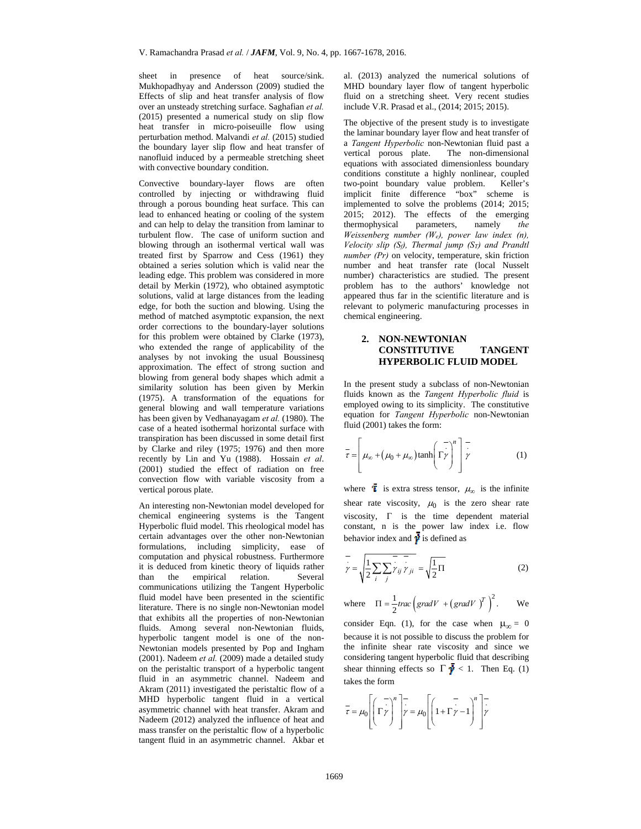sheet in presence of heat source/sink. Mukhopadhyay and Andersson (2009) studied the Effects of slip and heat transfer analysis of flow over an unsteady stretching surface. Saghafian *et al.* (2015) presented a numerical study on slip flow heat transfer in micro-poiseuille flow using perturbation method. Malvandi *et al.* (2015) studied the boundary layer slip flow and heat transfer of nanofluid induced by a permeable stretching sheet with convective boundary condition.

Convective boundary-layer flows are often controlled by injecting or withdrawing fluid through a porous bounding heat surface. This can lead to enhanced heating or cooling of the system and can help to delay the transition from laminar to turbulent flow. The case of uniform suction and blowing through an isothermal vertical wall was treated first by Sparrow and Cess (1961) they obtained a series solution which is valid near the leading edge. This problem was considered in more detail by Merkin (1972), who obtained asymptotic solutions, valid at large distances from the leading edge, for both the suction and blowing. Using the method of matched asymptotic expansion, the next order corrections to the boundary-layer solutions for this problem were obtained by Clarke (1973), who extended the range of applicability of the analyses by not invoking the usual Boussinesq approximation. The effect of strong suction and blowing from general body shapes which admit a similarity solution has been given by Merkin (1975). A transformation of the equations for general blowing and wall temperature variations has been given by Vedhanayagam *et al.* (1980). The case of a heated isothermal horizontal surface with transpiration has been discussed in some detail first by Clarke and riley (1975; 1976) and then more recently by Lin and Yu (1988). Hossain *et al*. (2001) studied the effect of radiation on free convection flow with variable viscosity from a vertical porous plate.

An interesting non-Newtonian model developed for chemical engineering systems is the Tangent Hyperbolic fluid model. This rheological model has certain advantages over the other non-Newtonian formulations, including simplicity, ease of computation and physical robustness. Furthermore it is deduced from kinetic theory of liquids rather than the empirical relation. Several communications utilizing the Tangent Hyperbolic fluid model have been presented in the scientific literature. There is no single non-Newtonian model that exhibits all the properties of non-Newtonian fluids. Among several non-Newtonian fluids, hyperbolic tangent model is one of the non-Newtonian models presented by Pop and Ingham (2001). Nadeem *et al.* (2009) made a detailed study on the peristaltic transport of a hyperbolic tangent fluid in an asymmetric channel. Nadeem and Akram (2011) investigated the peristaltic flow of a MHD hyperbolic tangent fluid in a vertical asymmetric channel with heat transfer. Akram and Nadeem (2012) analyzed the influence of heat and mass transfer on the peristaltic flow of a hyperbolic tangent fluid in an asymmetric channel. Akbar et

al. (2013) analyzed the numerical solutions of MHD boundary layer flow of tangent hyperbolic fluid on a stretching sheet. Very recent studies include V.R. Prasad et al., (2014; 2015; 2015).

The objective of the present study is to investigate the laminar boundary layer flow and heat transfer of a *Tangent Hyperbolic* non-Newtonian fluid past a vertical porous plate. The non-dimensional equations with associated dimensionless boundary conditions constitute a highly nonlinear, coupled two-point boundary value problem. Keller's implicit finite difference "box" scheme is implemented to solve the problems (2014; 2015; 2015; 2012). The effects of the emerging thermophysical parameters, namely *the Weissenberg number (We), power law index (n), Velocity slip (Sf), Thermal jump (ST) and Prandtl number (Pr)* on velocity, temperature, skin friction number and heat transfer rate (local Nusselt number) characteristics are studied. The present problem has to the authors' knowledge not appeared thus far in the scientific literature and is relevant to polymeric manufacturing processes in chemical engineering.

## **2. NON-NEWTONIAN CONSTITUTIVE TANGENT HYPERBOLIC FLUID MODEL**

In the present study a subclass of non-Newtonian fluids known as the *Tangent Hyperbolic fluid* is employed owing to its simplicity. The constitutive equation for *Tangent Hyperbolic* non-Newtonian fluid (2001) takes the form:

$$
\overline{\tau} = \left[ \mu_{\infty} + (\mu_0 + \mu_{\infty}) \tanh\left(\frac{\overline{\tau}}{\overline{\tau}}\right)^n \right] \overline{\tau}
$$
(1)

where  $\bar{i}$  is extra stress tensor,  $\mu_{\infty}$  is the infinite shear rate viscosity,  $\mu_0$  is the zero shear rate viscosity,  $\Gamma$  is the time dependent material constant, n is the power law index i.e. flow behavior index and  $\dot{\boldsymbol{y}}$  is defined as

$$
\overline{y} = \sqrt{\frac{1}{2} \sum_{i} \sum_{j} y_{ij} y_{ji}} = \sqrt{\frac{1}{2} \Pi}
$$
 (2)

where 
$$
\Pi = \frac{1}{2} \text{trace} \left( \text{grad} V + (\text{grad} V)^T \right)^2
$$
. We

consider Eqn. (1), for the case when  $\mu_{\infty} = 0$ because it is not possible to discuss the problem for the infinite shear rate viscosity and since we considering tangent hyperbolic fluid that describing shear thinning effects so  $\Gamma \vec{V} < 1$ . Then Eq. (1) takes the form

$$
\overline{\tau} = \mu_0 \left[ \left( \overline{\Gamma} \overline{\gamma}^n \right)^n \right] \overline{\gamma} = \mu_0 \left[ \left( 1 + \overline{\Gamma} \overline{\gamma} - 1 \right)^n \right] \overline{\gamma}
$$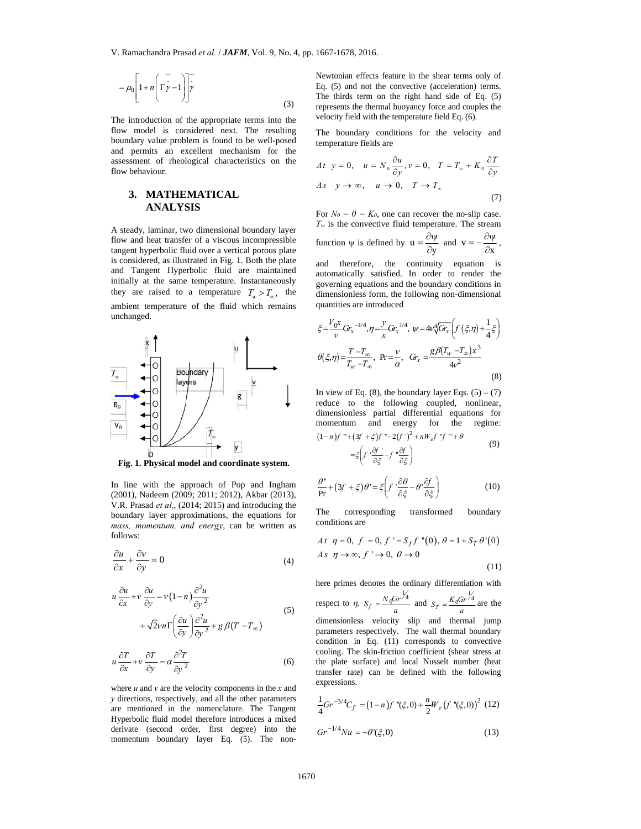$$
= \mu_0 \left[ 1 + n \left( \Gamma \frac{1}{\gamma - 1} \right) \right] \frac{1}{\gamma}
$$
\n(3)

 flow model is considered next. The resulting The introduction of the appropriate terms into the boundary value problem is found to be well-posed and permits an excellent mechanism for the assessment of rheological characteristics on the flow behaviour.

# **3. MATHEMATICAL ANALYSIS**

A steady, laminar, two dimensional boundary layer flow and heat transfer of a viscous incompressible tangent hyperbolic fluid over a vertical porous plate is considered, as illustrated in Fig. 1. Both the plate and Tangent Hyperbolic fluid are maintained initially at the same temperature. Instantaneously they are raised to a temperature  $T_w > T_{\infty}$ , the ambient temperature of the fluid which remains unchanged.



**Fig. 1. Physical model and coordinate system.** 

In line with the approach of Pop and Ingham (2001), Nadeem (2009; 2011; 2012), Akbar (2013), V.R. Prasad *et al*., (2014; 2015) and introducing the boundary layer approximations, the equations for *mass, momentum, and energy*, can be written as follows:

$$
\frac{\partial u}{\partial x} + \frac{\partial v}{\partial y} = 0\tag{4}
$$

$$
u \frac{\partial u}{\partial x} + v \frac{\partial u}{\partial y} = v(1-n) \frac{\partial^2 u}{\partial y^2} + \sqrt{2} \nu n \Gamma \left( \frac{\partial u}{\partial y} \right) \frac{\partial^2 u}{\partial y^2} + g \beta (T - T_{\infty})
$$
 (5)

$$
u\frac{\partial T}{\partial x} + v\frac{\partial T}{\partial y} = \alpha \frac{\partial^2 T}{\partial y^2}
$$
 (6)

where  $u$  and  $v$  are the velocity components in the  $x$  and *y* directions, respectively, and all the other parameters are mentioned in the nomenclature. The Tangent Hyperbolic fluid model therefore introduces a mixed derivate (second order, first degree) into the momentum boundary layer Eq. (5). The nonNewtonian effects feature in the shear terms only of Eq. (5) and not the convective (acceleration) terms. The thirds term on the right hand side of Eq. (5) represents the thermal buoyancy force and couples the velocity field with the temperature field Eq. (6).

The boundary conditions for the velocity and temperature fields are

$$
At \ y = 0, \quad u = N_0 \frac{\partial u}{\partial y}, v = 0, \quad T = T_w + K_0 \frac{\partial T}{\partial y}
$$
  

$$
As \quad y \to \infty, \quad u \to 0, \quad T \to T_{\infty}
$$
 (7)

For  $N_0 = 0 = K_0$ , one can recover the no-slip case.  $T_w$  is the convective fluid temperature. The stream function  $\psi$  is defined by  $u = \frac{\partial \psi}{\partial y}$  and  $v = -\frac{\partial \psi}{\partial x}$ ,

and therefore, the continuity equation is automatically satisfied. In order to render the governing equations and the boundary conditions in dimensionless form, the following non-dimensional quantities are introduced

$$
\xi = \frac{V_0 x}{v} G r_x^{-1/4}, \eta = \frac{y}{x} G r_x^{-1/4}, \psi = 4v \sqrt[4]{G r_x} \left( f \left( \xi, \eta \right) + \frac{1}{4} \xi \right)
$$

$$
\theta(\xi, \eta) = \frac{T - T_{\infty}}{T_w - T_{\infty}}, \text{ Pr} = \frac{v}{\alpha}, \text{ Gr}_x = \frac{g \beta (T_w - T_{\infty}) x^3}{4v^2}
$$
(8)

In view of Eq.  $(8)$ , the boundary layer Eqs.  $(5) - (7)$ reduce to the following coupled, nonlinear, dimensionless partial differential equations for momentum and energy for the regime:  $(1-n)f$  "" +  $(3f + \xi)f$  "-  $2(f')^2 + nW_e f$  "f "" +  $\theta$ 

$$
=\xi \left(f \cdot \frac{\partial f}{\partial \xi} - f \cdot \frac{\partial f}{\partial \xi}\right) \tag{9}
$$

$$
\frac{\theta^{n}}{\Pr} + (3f + \xi)\theta^{n} = \xi \left(f^{n}\frac{\partial \theta}{\partial \xi} - \theta^{n}\frac{\partial f}{\partial \xi}\right)
$$
(10)

The corresponding transformed boundary conditions are

$$
At \ \eta = 0, \ f = 0, \ f' = S_f f \''(0), \ \theta = 1 + S_T \theta'(0)
$$
  

$$
As \ \eta \to \infty, \ f' \to 0, \ \theta \to 0
$$
 (11)

here primes denotes the ordinary differentiation with

respect to  $\eta$ ,  $S_f = \frac{N_0 Gr^{\frac{1}{4}}}{a}$  and  $S_r = \frac{K_0 Gr^{\frac{1}{4}}}{a}$  are the dimensionless velocity slip and thermal jump parameters respectively. The wall thermal boundary condition in Eq. (11) corresponds to convective cooling. The skin-friction coefficient (shear stress at the plate surface) and local Nusselt number (heat transfer rate) can be defined with the following expressions.

$$
\frac{1}{4}Gr^{-3/4}C_f = (1 - n)f''(\xi, 0) + \frac{n}{2}W_e(f''(\xi, 0))^2
$$
 (12)  

$$
Gr^{-1/4}Nu = -\theta'(\xi, 0)
$$
 (13)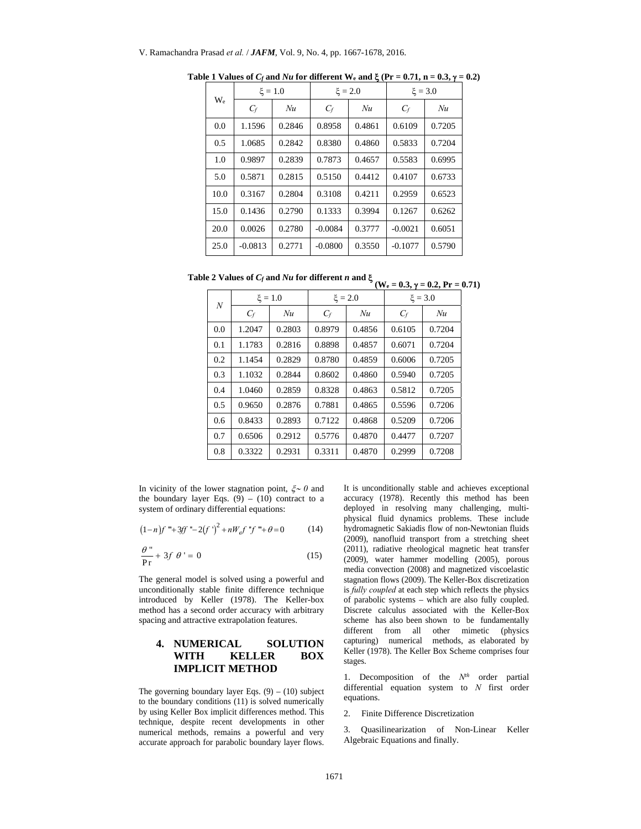| $W_{e}$ | $\xi = 1.0$ |        | $\xi = 2.0$ |        | $\xi = 3.0$ |        |
|---------|-------------|--------|-------------|--------|-------------|--------|
|         | $C_f$       | Nu     | $C_f$       | Nu     | $C_f$       | Nu     |
| 0.0     | 1.1596      | 0.2846 | 0.8958      | 0.4861 | 0.6109      | 0.7205 |
| 0.5     | 1.0685      | 0.2842 | 0.8380      | 0.4860 | 0.5833      | 0.7204 |
| 1.0     | 0.9897      | 0.2839 | 0.7873      | 0.4657 | 0.5583      | 0.6995 |
| 5.0     | 0.5871      | 0.2815 | 0.5150      | 0.4412 | 0.4107      | 0.6733 |
| 10.0    | 0.3167      | 0.2804 | 0.3108      | 0.4211 | 0.2959      | 0.6523 |
| 15.0    | 0.1436      | 0.2790 | 0.1333      | 0.3994 | 0.1267      | 0.6262 |
| 20.0    | 0.0026      | 0.2780 | $-0.0084$   | 0.3777 | $-0.0021$   | 0.6051 |
| 25.0    | $-0.0813$   | 0.2771 | $-0.0800$   | 0.3550 | $-0.1077$   | 0.5790 |

Table 1 Values of  $C_f$  and  $Nu$  for different W<sub>e</sub> and  $\xi$  (Pr = 0.71, n = 0.3,  $\gamma$  = 0.2)

Table 2 Values of  $C_f$  and  $Nu$  for different  $n$  and  $\xi$  (W<sub>e</sub> = 0.3,  $\gamma$  = 0.2, Pr = 0.71)

| $\cal N$ | $\xi = 1.0$ |        |        | $\xi = 2.0$ | $\xi = 3.0$ |        |
|----------|-------------|--------|--------|-------------|-------------|--------|
|          | $C_f$       | Nu     | $C_f$  | Nu          | $C_f$       | Nu     |
| 0.0      | 1.2047      | 0.2803 | 0.8979 | 0.4856      | 0.6105      | 0.7204 |
| 0.1      | 1.1783      | 0.2816 | 0.8898 | 0.4857      | 0.6071      | 0.7204 |
| 0.2      | 1.1454      | 0.2829 | 0.8780 | 0.4859      | 0.6006      | 0.7205 |
| 0.3      | 1.1032      | 0.2844 | 0.8602 | 0.4860      | 0.5940      | 0.7205 |
| 0.4      | 1.0460      | 0.2859 | 0.8328 | 0.4863      | 0.5812      | 0.7205 |
| 0.5      | 0.9650      | 0.2876 | 0.7881 | 0.4865      | 0.5596      | 0.7206 |
| 0.6      | 0.8433      | 0.2893 | 0.7122 | 0.4868      | 0.5209      | 0.7206 |
| 0.7      | 0.6506      | 0.2912 | 0.5776 | 0.4870      | 0.4477      | 0.7207 |
| 0.8      | 0.3322      | 0.2931 | 0.3311 | 0.4870      | 0.2999      | 0.7208 |

In vicinity of the lower stagnation point,  $\xi \sim 0$  and the boundary layer Eqs.  $(9) - (10)$  contract to a system of ordinary differential equations:

$$
(1-n)f''' + 3ff'' - 2(f')^{2} + nW_{e}f''f''' + \theta = 0
$$
 (14)

$$
\frac{\theta}{\mathbf{P}\mathbf{r}} + 3f \theta' = 0 \tag{15}
$$

The general model is solved using a powerful and unconditionally stable finite difference technique introduced by Keller (1978). The Keller-box method has a second order accuracy with arbitrary spacing and attractive extrapolation features.

# **4. NUMERICAL SOLUTION WITH KELLER BOX IMPLICIT METHOD**

The governing boundary layer Eqs.  $(9) - (10)$  subject to the boundary conditions (11) is solved numerically by using Keller Box implicit differences method. This technique, despite recent developments in other numerical methods, remains a powerful and very accurate approach for parabolic boundary layer flows. It is unconditionally stable and achieves exceptional accuracy (1978). Recently this method has been deployed in resolving many challenging, multiphysical fluid dynamics problems. These include hydromagnetic Sakiadis flow of non-Newtonian fluids (2009), nanofluid transport from a stretching sheet (2011), radiative rheological magnetic heat transfer (2009), water hammer modelling (2005), porous media convection (2008) and magnetized viscoelastic stagnation flows (2009). The Keller-Box discretization is *fully coupled* at each step which reflects the physics of parabolic systems – which are also fully coupled. Discrete calculus associated with the Keller-Box scheme has also been shown to be fundamentally different from all other mimetic (physics capturing) numerical methods, as elaborated by Keller (1978). The Keller Box Scheme comprises four stages.

1. Decomposition of the  $N<sup>th</sup>$  order partial differential equation system to *N* first order equations.

2. Finite Difference Discretization

3. Quasilinearization of Non-Linear Keller Algebraic Equations and finally.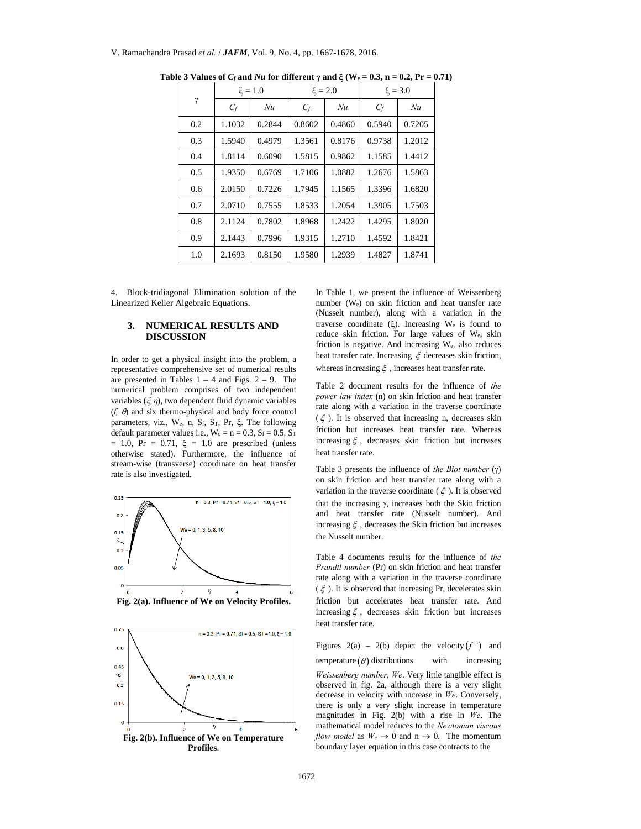|     | $\xi = 1.0$ |        | $\xi = 2.0$ |        | $\xi = 3.0$ |        |
|-----|-------------|--------|-------------|--------|-------------|--------|
| γ   | $C_f$       | Nu     | $C_f$       | Nu     | $C_f$       | Nu     |
| 0.2 | 1.1032      | 0.2844 | 0.8602      | 0.4860 | 0.5940      | 0.7205 |
| 0.3 | 1.5940      | 0.4979 | 1.3561      | 0.8176 | 0.9738      | 1.2012 |
| 0.4 | 1.8114      | 0.6090 | 1.5815      | 0.9862 | 1.1585      | 1.4412 |
| 0.5 | 1.9350      | 0.6769 | 1.7106      | 1.0882 | 1.2676      | 1.5863 |
| 0.6 | 2.0150      | 0.7226 | 1.7945      | 1.1565 | 1.3396      | 1.6820 |
| 0.7 | 2.0710      | 0.7555 | 1.8533      | 1.2054 | 1.3905      | 1.7503 |
| 0.8 | 2.1124      | 0.7802 | 1.8968      | 1.2422 | 1.4295      | 1.8020 |
| 0.9 | 2.1443      | 0.7996 | 1.9315      | 1.2710 | 1.4592      | 1.8421 |
| 1.0 | 2.1693      | 0.8150 | 1.9580      | 1.2939 | 1.4827      | 1.8741 |

Table 3 Values of  $C_f$  and  $Nu$  for different  $\gamma$  and  $\xi$  (W<sub>e</sub> = 0.3, n = 0.2, Pr = 0.71)

4. Block-tridiagonal Elimination solution of the Linearized Keller Algebraic Equations.

## **3. NUMERICAL RESULTS AND DISCUSSION**

In order to get a physical insight into the problem, a representative comprehensive set of numerical results are presented in Tables  $1 - 4$  and Figs.  $2 - 9$ . The numerical problem comprises of two independent variables  $(\xi, \eta)$ , two dependent fluid dynamic variables  $(f, \theta)$  and six thermo-physical and body force control parameters, viz.,  $W_e$ , n,  $S_f$ ,  $S_T$ ,  $P_r$ ,  $\xi$ . The following default parameter values i.e.,  $W_e = n = 0.3$ ,  $S_f = 0.5$ ,  $S_T$  $= 1.0$ , Pr  $= 0.71$ ,  $\xi = 1.0$  are prescribed (unless otherwise stated). Furthermore, the influence of stream-wise (transverse) coordinate on heat transfer rate is also investigated.





In Table 1, we present the influence of Weissenberg number (We) on skin friction and heat transfer rate (Nusselt number), along with a variation in the traverse coordinate  $(\xi)$ . Increasing W<sub>e</sub> is found to reduce skin friction. For large values of We, skin friction is negative. And increasing We, also reduces heat transfer rate. Increasing  $\xi$  decreases skin friction, whereas increasing  $\xi$ , increases heat transfer rate.

Table 2 document results for the influence of *the power law index* (n) on skin friction and heat transfer rate along with a variation in the traverse coordinate  $(\xi)$ . It is observed that increasing n, decreases skin friction but increases heat transfer rate. Whereas increasing  $\xi$ , decreases skin friction but increases heat transfer rate.

Table 3 presents the influence of *the Biot number*  $(y)$ on skin friction and heat transfer rate along with a variation in the traverse coordinate ( $\xi$ ). It is observed that the increasing  $\gamma$ , increases both the Skin friction and heat transfer rate (Nusselt number). And increasing  $\xi$ , decreases the Skin friction but increases the Nusselt number.

Table 4 documents results for the influence of *the Prandtl number* (Pr) on skin friction and heat transfer rate along with a variation in the traverse coordinate  $(\xi)$ . It is observed that increasing Pr, decelerates skin friction but accelerates heat transfer rate. And increasing  $\xi$ , decreases skin friction but increases heat transfer rate.

Figures  $2(a) - 2(b)$  depict the velocity  $(f')$  and temperature  $(\theta)$  distributions with increasing *Weissenberg number, We*. Very little tangible effect is observed in fig. 2a, although there is a very slight decrease in velocity with increase in *We*. Conversely, there is only a very slight increase in temperature magnitudes in Fig. 2(b) with a rise in *We*. The mathematical model reduces to the *Newtonian viscous flow model* as  $W_e \rightarrow 0$  and  $n \rightarrow 0$ . The momentum boundary layer equation in this case contracts to the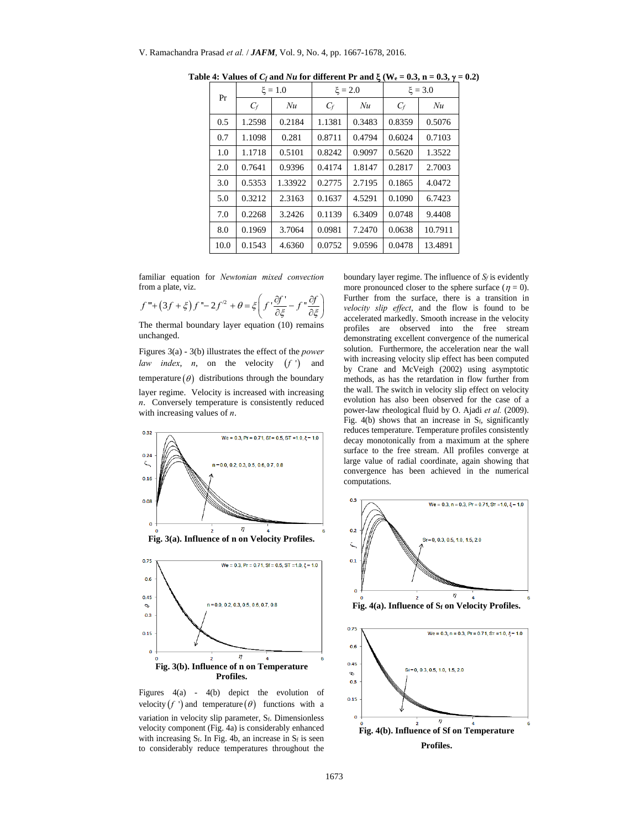| Pr   | $\xi = 1.0$ |         | $\xi = 2.0$ |        | $\xi = 3.0$ |         |
|------|-------------|---------|-------------|--------|-------------|---------|
|      | $C_f$       | Nu      | $C_f$       | Nu     | $C_f$       | Nu      |
| 0.5  | 1.2598      | 0.2184  | 1.1381      | 0.3483 | 0.8359      | 0.5076  |
| 0.7  | 1.1098      | 0.281   | 0.8711      | 0.4794 | 0.6024      | 0.7103  |
| 1.0  | 1.1718      | 0.5101  | 0.8242      | 0.9097 | 0.5620      | 1.3522  |
| 2.0  | 0.7641      | 0.9396  | 0.4174      | 1.8147 | 0.2817      | 2.7003  |
| 3.0  | 0.5353      | 1.33922 | 0.2775      | 2.7195 | 0.1865      | 4.0472  |
| 5.0  | 0.3212      | 2.3163  | 0.1637      | 4.5291 | 0.1090      | 6.7423  |
| 7.0  | 0.2268      | 3.2426  | 0.1139      | 6.3409 | 0.0748      | 9.4408  |
| 8.0  | 0.1969      | 3.7064  | 0.0981      | 7.2470 | 0.0638      | 10.7911 |
| 10.0 | 0.1543      | 4.6360  | 0.0752      | 9.0596 | 0.0478      | 13.4891 |

Table 4: Values of  $C_f$  and  $Nu$  for different Pr and  $\xi$  (W<sub>e</sub> = 0.3, n = 0.3,  $\gamma$  = 0.2)

familiar equation for *Newtonian mixed convection* from a plate, viz.

$$
f''' + (3f + \xi)f'' - 2f'^2 + \theta = \xi \left(f' \frac{\partial f'}{\partial \xi} - f'' \frac{\partial f}{\partial \xi}\right)
$$

The thermal boundary layer equation (10) remains unchanged.

Figures 3(a) - 3(b) illustrates the effect of the *power law index*, *n*, on the velocity  $(f')$  and temperature  $(\theta)$  distributions through the boundary layer regime. Velocity is increased with increasing *n*. Conversely temperature is consistently reduced with increasing values of *n*.



Figures 4(a) - 4(b) depict the evolution of velocity  $(f')$  and temperature  $(\theta)$  functions with a variation in velocity slip parameter, Sf. Dimensionless velocity component (Fig. 4a) is considerably enhanced with increasing  $S_f$ . In Fig. 4b, an increase in  $S_f$  is seen to considerably reduce temperatures throughout the

boundary layer regime. The influence of  $S_f$  is evidently more pronounced closer to the sphere surface ( $\eta = 0$ ). Further from the surface, there is a transition in *velocity slip effect*, and the flow is found to be accelerated markedly. Smooth increase in the velocity profiles are observed into the free stream demonstrating excellent convergence of the numerical solution. Furthermore, the acceleration near the wall with increasing velocity slip effect has been computed by Crane and McVeigh (2002) using asymptotic methods, as has the retardation in flow further from the wall. The switch in velocity slip effect on velocity evolution has also been observed for the case of a power-law rheological fluid by O. Ajadi *et al.* (2009). Fig.  $4(b)$  shows that an increase in  $S_f$ , significantly reduces temperature. Temperature profiles consistently decay monotonically from a maximum at the sphere surface to the free stream. All profiles converge at large value of radial coordinate, again showing that convergence has been achieved in the numerical computations.



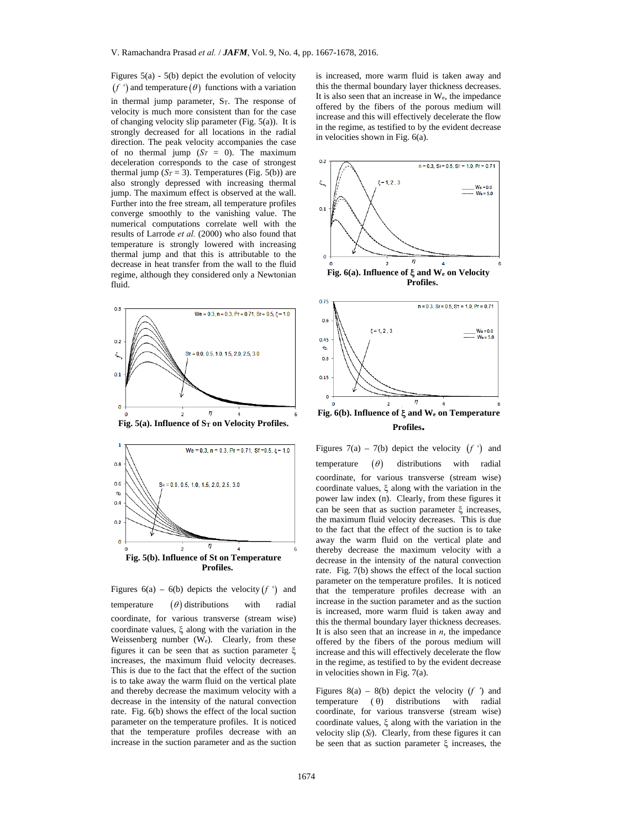Figures 5(a) - 5(b) depict the evolution of velocity  $f$  ') and temperature  $(\theta)$  functions with a variation in thermal jump parameter,  $S_T$ . The response of velocity is much more consistent than for the case of changing velocity slip parameter (Fig. 5(a)). It is strongly decreased for all locations in the radial direction. The peak velocity accompanies the case of no thermal jump  $(S_T = 0)$ . The maximum deceleration corresponds to the case of strongest thermal jump  $(S_T = 3)$ . Temperatures (Fig. 5(b)) are also strongly depressed with increasing thermal jump. The maximum effect is observed at the wall. Further into the free stream, all temperature profiles converge smoothly to the vanishing value. The numerical computations correlate well with the results of Larrode *et al.* (2000) who also found that temperature is strongly lowered with increasing thermal jump and that this is attributable to the decrease in heat transfer from the wall to the fluid regime, although they considered only a Newtonian fluid.



Fig. 5(a). Influence of S<sub>T</sub> on Velocity Profiles.



Figures  $6(a) - 6(b)$  depicts the velocity  $(f')$  and temperature  $(\theta)$  distributions with radial coordinate, for various transverse (stream wise) coordinate values,  $\xi$  along with the variation in the Weissenberg number (We). Clearly, from these figures it can be seen that as suction parameter  $\xi$ increases, the maximum fluid velocity decreases. This is due to the fact that the effect of the suction is to take away the warm fluid on the vertical plate and thereby decrease the maximum velocity with a decrease in the intensity of the natural convection rate. Fig. 6(b) shows the effect of the local suction parameter on the temperature profiles. It is noticed that the temperature profiles decrease with an increase in the suction parameter and as the suction

is increased, more warm fluid is taken away and this the thermal boundary layer thickness decreases. It is also seen that an increase in We, the impedance offered by the fibers of the porous medium will increase and this will effectively decelerate the flow in the regime, as testified to by the evident decrease in velocities shown in Fig. 6(a).



**Profiles.** 

Figures 7(a) – 7(b) depict the velocity  $(f')$  and temperature  $(\theta)$  distributions with radial coordinate, for various transverse (stream wise) coordinate values,  $\xi$  along with the variation in the power law index (n). Clearly, from these figures it can be seen that as suction parameter  $\xi$  increases, the maximum fluid velocity decreases. This is due to the fact that the effect of the suction is to take away the warm fluid on the vertical plate and thereby decrease the maximum velocity with a decrease in the intensity of the natural convection rate. Fig. 7(b) shows the effect of the local suction parameter on the temperature profiles. It is noticed that the temperature profiles decrease with an increase in the suction parameter and as the suction is increased, more warm fluid is taken away and this the thermal boundary layer thickness decreases. It is also seen that an increase in *n*, the impedance offered by the fibers of the porous medium will increase and this will effectively decelerate the flow in the regime, as testified to by the evident decrease in velocities shown in Fig. 7(a).

Figures  $8(a) - 8(b)$  depict the velocity (*f* ') and temperature  $(\theta)$  distributions with radial coordinate, for various transverse (stream wise) coordinate values,  $\xi$  along with the variation in the velocity slip (*Sf*). Clearly, from these figures it can be seen that as suction parameter  $\xi$  increases, the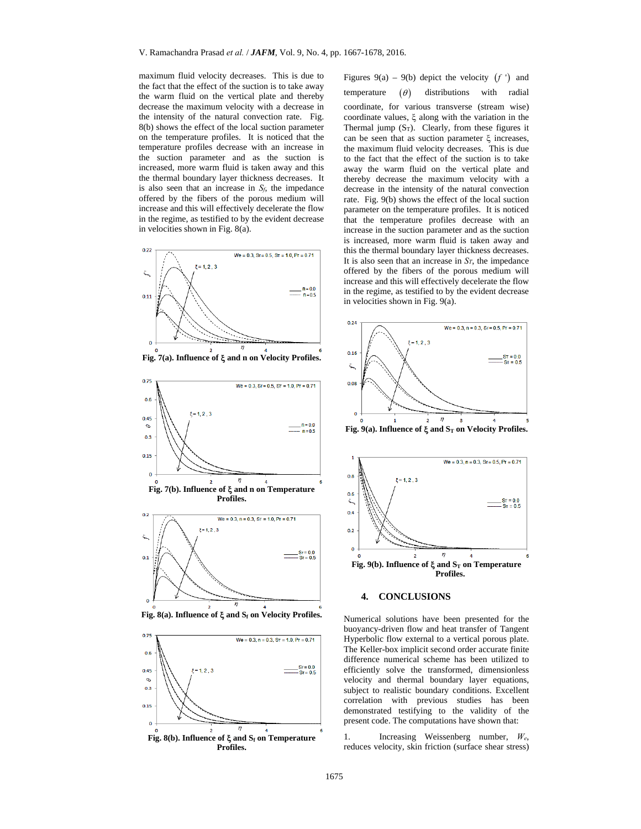maximum fluid velocity decreases. This is due to the fact that the effect of the suction is to take away the warm fluid on the vertical plate and thereby decrease the maximum velocity with a decrease in the intensity of the natural convection rate. Fig. 8(b) shows the effect of the local suction parameter on the temperature profiles. It is noticed that the temperature profiles decrease with an increase in the suction parameter and as the suction is increased, more warm fluid is taken away and this the thermal boundary layer thickness decreases. It is also seen that an increase in  $S_f$ , the impedance offered by the fibers of the porous medium will increase and this will effectively decelerate the flow in the regime, as testified to by the evident decrease in velocities shown in Fig. 8(a).





Fig. 8(a). Influence of  $\xi$  and  $S_f$  on Velocity Profiles.



Figures  $9(a) - 9(b)$  depict the velocity  $(f')$  and temperature  $(\theta)$  distributions with radial coordinate, for various transverse (stream wise) coordinate values,  $\xi$  along with the variation in the Thermal jump  $(S_T)$ . Clearly, from these figures it can be seen that as suction parameter  $\xi$  increases, the maximum fluid velocity decreases. This is due to the fact that the effect of the suction is to take away the warm fluid on the vertical plate and thereby decrease the maximum velocity with a decrease in the intensity of the natural convection rate. Fig. 9(b) shows the effect of the local suction parameter on the temperature profiles. It is noticed that the temperature profiles decrease with an increase in the suction parameter and as the suction is increased, more warm fluid is taken away and this the thermal boundary layer thickness decreases. It is also seen that an increase in *ST*, the impedance offered by the fibers of the porous medium will increase and this will effectively decelerate the flow in the regime, as testified to by the evident decrease in velocities shown in Fig. 9(a).



## **4. CONCLUSIONS**

Numerical solutions have been presented for the buoyancy-driven flow and heat transfer of Tangent Hyperbolic flow external to a vertical porous plate. The Keller-box implicit second order accurate finite difference numerical scheme has been utilized to efficiently solve the transformed, dimensionless velocity and thermal boundary layer equations, subject to realistic boundary conditions. Excellent correlation with previous studies has been demonstrated testifying to the validity of the present code. The computations have shown that:

1. Increasing Weissenberg number, *We*, reduces velocity, skin friction (surface shear stress)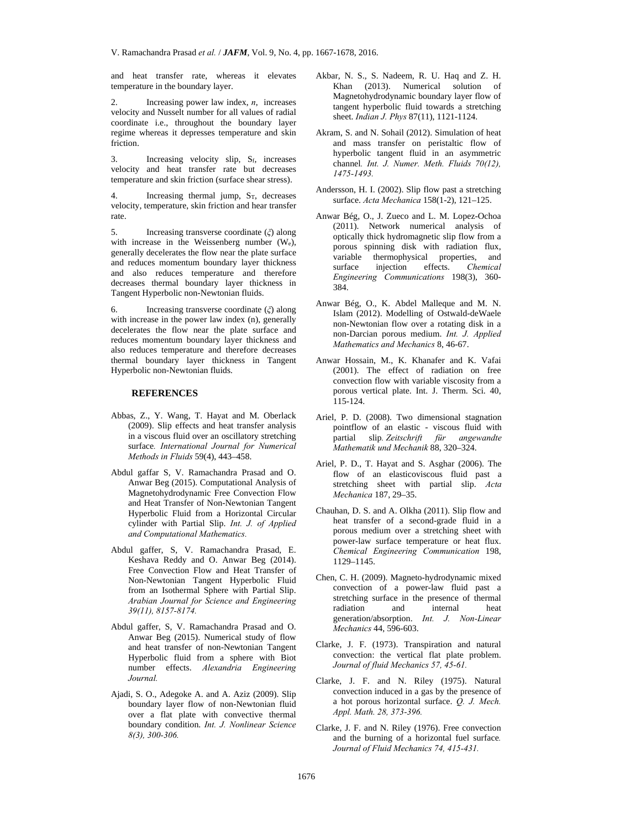and heat transfer rate, whereas it elevates temperature in the boundary layer.

2. Increasing power law index, *n*, increases velocity and Nusselt number for all values of radial coordinate i.e., throughout the boundary layer regime whereas it depresses temperature and skin friction.

3. Increasing velocity slip, Sf, increases velocity and heat transfer rate but decreases temperature and skin friction (surface shear stress).

4. Increasing thermal jump, S<sub>T</sub>, decreases velocity, temperature, skin friction and hear transfer rate.

5. Increasing transverse coordinate (*ξ*) along with increase in the Weissenberg number (We), generally decelerates the flow near the plate surface and reduces momentum boundary layer thickness and also reduces temperature and therefore decreases thermal boundary layer thickness in Tangent Hyperbolic non-Newtonian fluids.

6. Increasing transverse coordinate (*ξ*) along with increase in the power law index (n), generally decelerates the flow near the plate surface and reduces momentum boundary layer thickness and also reduces temperature and therefore decreases thermal boundary layer thickness in Tangent Hyperbolic non-Newtonian fluids.

## **REFERENCES**

- Abbas, Z., Y. Wang, T. Hayat and M. Oberlack (2009). Slip effects and heat transfer analysis in a viscous fluid over an oscillatory stretching surface*. International Journal for Numerical Methods in Fluids* 59(4), 443–458.
- Abdul gaffar S, V. Ramachandra Prasad and O. Anwar Beg (2015). Computational Analysis of Magnetohydrodynamic Free Convection Flow and Heat Transfer of Non-Newtonian Tangent Hyperbolic Fluid from a Horizontal Circular cylinder with Partial Slip. *Int. J. of Applied and Computational Mathematics.*
- Abdul gaffer, S, V. Ramachandra Prasad, E. Keshava Reddy and O. Anwar Beg (2014). Free Convection Flow and Heat Transfer of Non-Newtonian Tangent Hyperbolic Fluid from an Isothermal Sphere with Partial Slip. *Arabian Journal for Science and Engineering 39(11), 8157-8174.*
- Abdul gaffer, S, V. Ramachandra Prasad and O. Anwar Beg (2015). Numerical study of flow and heat transfer of non-Newtonian Tangent Hyperbolic fluid from a sphere with Biot number effects. *Alexandria Engineering Journal.*
- Ajadi, S. O., Adegoke A. and A. Aziz (2009). Slip boundary layer flow of non-Newtonian fluid over a flat plate with convective thermal boundary condition. *Int. J. Nonlinear Science 8(3), 300-306.*
- Akbar, N. S., S. Nadeem, R. U. Haq and Z. H. Khan (2013). Numerical solution of Magnetohydrodynamic boundary layer flow of tangent hyperbolic fluid towards a stretching sheet. *Indian J. Phys* 87(11), 1121-1124.
- Akram, S. and N. Sohail (2012). Simulation of heat and mass transfer on peristaltic flow of hyperbolic tangent fluid in an asymmetric channel*. Int. J. Numer. Meth. Fluids 70(12), 1475-1493.*
- Andersson, H. I. (2002). Slip flow past a stretching surface. *Acta Mechanica* 158(1-2), 121–125.
- Anwar Bég, O., J. Zueco and L. M. Lopez-Ochoa (2011). Network numerical analysis of optically thick hydromagnetic slip flow from a porous spinning disk with radiation flux, variable thermophysical properties, and surface injection effects. *Chemical Engineering Communications* 198(3), 360- 384.
- Anwar Bég, O., K. Abdel Malleque and M. N. Islam (2012). Modelling of Ostwald-deWaele non-Newtonian flow over a rotating disk in a non-Darcian porous medium. *Int. J. Applied Mathematics and Mechanics* 8, 46-67.
- Anwar Hossain, M., K. Khanafer and K. Vafai (2001). The effect of radiation on free convection flow with variable viscosity from a porous vertical plate. Int. J. Therm. Sci. 40, 115-124.
- Ariel, P. D. (2008). Two dimensional stagnation pointflow of an elastic - viscous fluid with partial slip*. Zeitschrift für angewandte Mathematik und Mechanik* 88, 320–324.
- Ariel, P. D., T. Hayat and S. Asghar (2006). The flow of an elasticoviscous fluid past a stretching sheet with partial slip. *Acta Mechanica* 187, 29–35.
- Chauhan, D. S. and A. Olkha (2011). Slip flow and heat transfer of a second-grade fluid in a porous medium over a stretching sheet with power-law surface temperature or heat flux. *Chemical Engineering Communication* 198, 1129–1145.
- Chen, C. H. (2009). Magneto-hydrodynamic mixed convection of a power-law fluid past a stretching surface in the presence of thermal radiation and internal heat generation/absorption. *Int. J. Non-Linear Mechanics* 44, 596-603.
- Clarke, J. F. (1973). Transpiration and natural convection: the vertical flat plate problem. *Journal of fluid Mechanics 57, 45-61.*
- Clarke, J. F. and N. Riley (1975). Natural convection induced in a gas by the presence of a hot porous horizontal surface. *Q. J. Mech. Appl. Math. 28, 373-396.*
- Clarke, J. F. and N. Riley (1976). Free convection and the burning of a horizontal fuel surface*. Journal of Fluid Mechanics 74, 415-431.*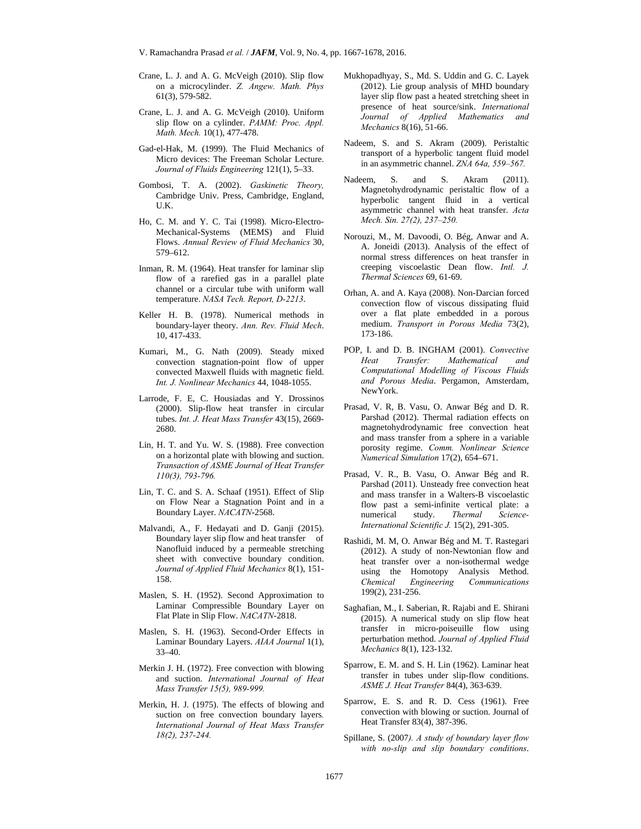V. Ramachandra Prasad *et al.* / *JAFM*, Vol. 9, No. 4, pp. 1667-1678, 2016.

- Crane, L. J. and A. G. McVeigh (2010). Slip flow on a microcylinder. *Z. Angew. Math. Phys*  61(3), 579-582.
- Crane, L. J. and A. G. McVeigh (2010). Uniform slip flow on a cylinder. *PAMM: Proc. Appl. Math. Mech.* 10(1), 477-478.
- Gad-el-Hak, M. (1999). The Fluid Mechanics of Micro devices: The Freeman Scholar Lecture. *Journal of Fluids Engineering* 121(1), 5–33.
- Gombosi, T. A. (2002). *Gaskinetic Theory,* Cambridge Univ. Press, Cambridge, England, U.K.
- Ho, C. M. and Y. C. Tai (1998). Micro-Electro-Mechanical-Systems (MEMS) and Fluid Flows. *Annual Review of Fluid Mechanics* 30, 579–612.
- Inman, R. M. (1964). Heat transfer for laminar slip flow of a rarefied gas in a parallel plate channel or a circular tube with uniform wall temperature. *NASA Tech. Report, D-2213*.
- Keller H. B. (1978). Numerical methods in boundary-layer theory. *Ann. Rev. Fluid Mech*. 10, 417-433.
- Kumari, M., G. Nath (2009). Steady mixed convection stagnation-point flow of upper convected Maxwell fluids with magnetic field. *Int. J. Nonlinear Mechanics* 44, 1048-1055.
- Larrode, F. E, C. Housiadas and Y. Drossinos (2000). Slip-flow heat transfer in circular tubes. *Int. J. Heat Mass Transfer* 43(15), 2669- 2680.
- Lin, H. T. and Yu. W. S. (1988). Free convection on a horizontal plate with blowing and suction. *Transaction of ASME Journal of Heat Transfer 110(3), 793-796.*
- Lin, T. C. and S. A. Schaaf (1951). Effect of Slip on Flow Near a Stagnation Point and in a Boundary Layer. *NACATN*-2568.
- Malvandi, A., F. Hedayati and D. Ganji (2015). Boundary layer slip flow and heat transfer of Nanofluid induced by a permeable stretching sheet with convective boundary condition. *Journal of Applied Fluid Mechanics* 8(1), 151- 158.
- Maslen, S. H. (1952). Second Approximation to Laminar Compressible Boundary Layer on Flat Plate in Slip Flow. *NACATN*-2818.
- Maslen, S. H. (1963). Second-Order Effects in Laminar Boundary Layers. *AIAA Journal* 1(1), 33–40.
- Merkin J. H. (1972). Free convection with blowing and suction. *International Journal of Heat Mass Transfer 15(5), 989-999.*
- Merkin, H. J. (1975). The effects of blowing and suction on free convection boundary layers*. International Journal of Heat Mass Transfer 18(2), 237-244.*
- Mukhopadhyay, S., Md. S. Uddin and G. C. Layek (2012). Lie group analysis of MHD boundary layer slip flow past a heated stretching sheet in presence of heat source/sink. *International Journal of Applied Mathematics and Mechanics* 8(16), 51-66.
- Nadeem, S. and S. Akram (2009). Peristaltic transport of a hyperbolic tangent fluid model in an asymmetric channel. *ZNA 64a, 559–567.*
- Nadeem, S. and S. Akram (2011). Magnetohydrodynamic peristaltic flow of a hyperbolic tangent fluid in a vertical asymmetric channel with heat transfer. *Acta Mech. Sin. 27(2), 237–250.*
- Norouzi, M., M. Davoodi, O. Bég, Anwar and A. A. Joneidi (2013). Analysis of the effect of normal stress differences on heat transfer in creeping viscoelastic Dean flow. *Intl. J. Thermal Sciences* 69, 61-69.
- Orhan, A. and A. Kaya (2008). Non-Darcian forced convection flow of viscous dissipating fluid over a flat plate embedded in a porous medium. *Transport in Porous Media* 73(2), 173-186.
- POP, I. and D. B. INGHAM (2001). *Convective Heat Transfer: Mathematical and Computational Modelling of Viscous Fluids and Porous Media*. Pergamon, Amsterdam, NewYork.
- Prasad, V. R, B. Vasu, O. Anwar Bég and D. R. Parshad (2012). Thermal radiation effects on magnetohydrodynamic free convection heat and mass transfer from a sphere in a variable porosity regime. *Comm. Nonlinear Science Numerical Simulation* 17(2), 654–671.
- Prasad, V. R., B. Vasu, O. Anwar Bég and R. Parshad (2011). Unsteady free convection heat and mass transfer in a Walters-B viscoelastic flow past a semi-infinite vertical plate: a numerical study. *Thermal Science-International Scientific J.* 15(2), 291-305.
- Rashidi, M. M, O. Anwar Bég and M. T. Rastegari (2012). A study of non-Newtonian flow and heat transfer over a non-isothermal wedge using the Homotopy Analysis Method. *Chemical Engineering Communications* 199(2), 231-256.
- Saghafian, M., I. Saberian, R. Rajabi and E. Shirani (2015). A numerical study on slip flow heat transfer in micro-poiseuille flow using perturbation method. *Journal of Applied Fluid Mechanics* 8(1), 123-132.
- Sparrow, E. M. and S. H. Lin (1962). Laminar heat transfer in tubes under slip-flow conditions. *ASME J. Heat Transfer* 84(4), 363-639.
- Sparrow, E. S. and R. D. Cess (1961). Free convection with blowing or suction. Journal of Heat Transfer 83(4), 387-396.
- Spillane, S. (2007*). A study of boundary layer flow with no-slip and slip boundary conditions*.